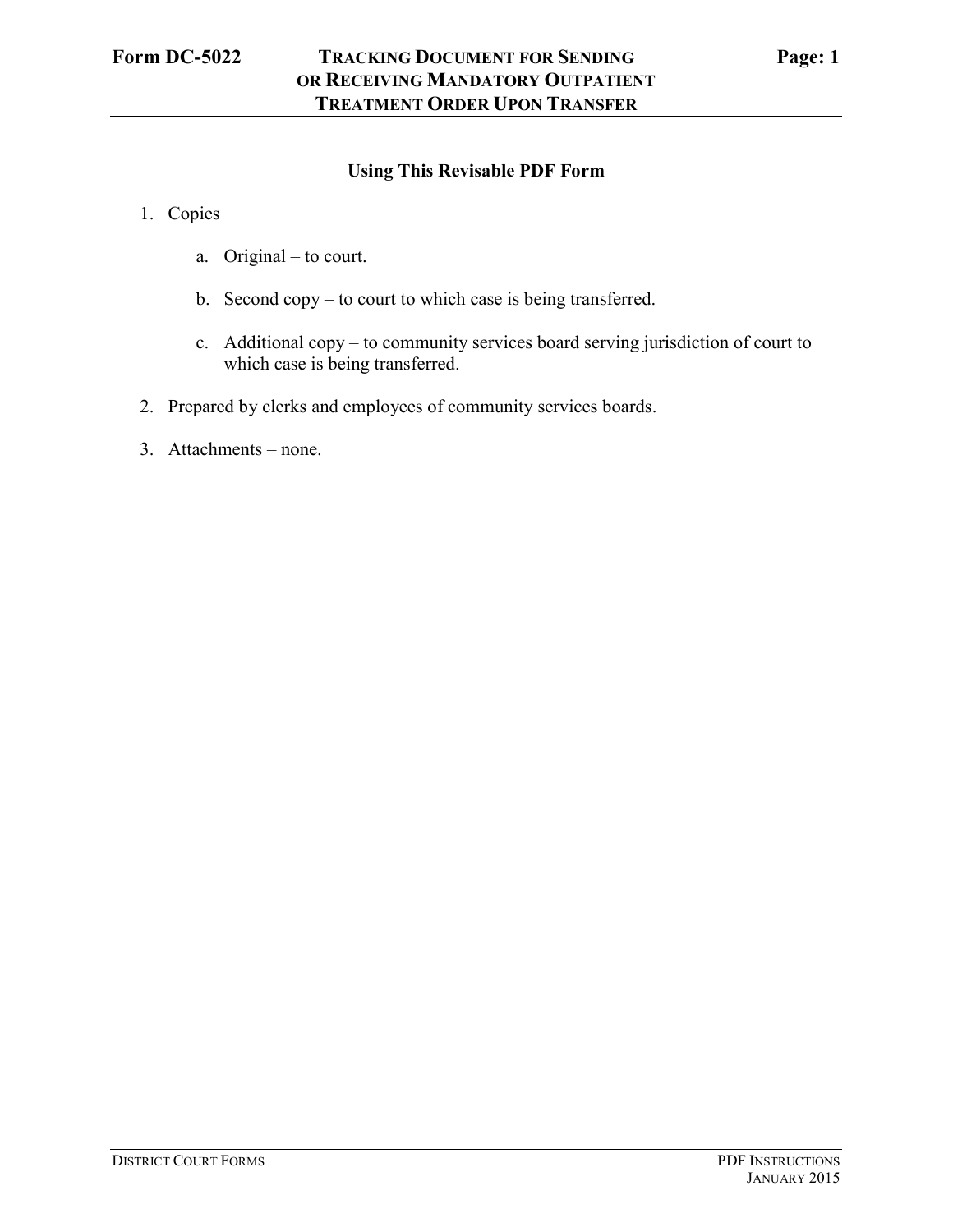## 1. Copies

- a. Original to court.
- b. Second copy to court to which case is being transferred.
- c. Additional copy to community services board serving jurisdiction of court to which case is being transferred.
- 2. Prepared by clerks and employees of community services boards.
- 3. Attachments none.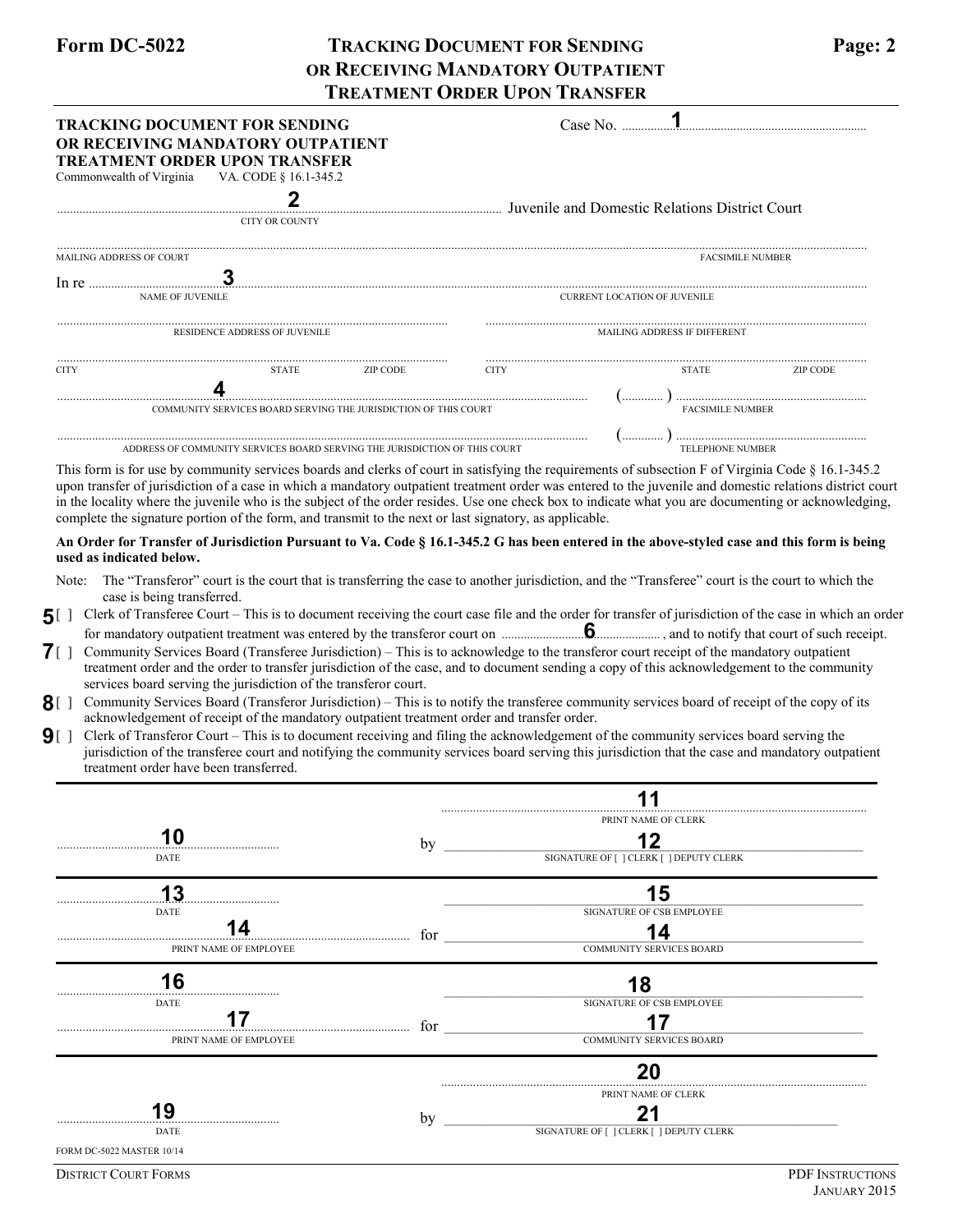# **Form DC-5022 TRACKING DOCUMENT FOR SENDING Page: 2 OR RECEIVING MANDATORY OUTPATIENT TREATMENT ORDER UPON TRANSFER**

### **TRACKING DOCUMENT FOR SENDING Case No. ......... OR RECEIVING MANDATORY OUTPATIENT TREATMENT ORDER UPON TRANSFER**

**1**

Commonwealth of Virgin

| nia | VA. CODE § 16.1-345.2 |  |
|-----|-----------------------|--|
|     |                       |  |
|     |                       |  |

CITY OR COUNTY

............................................................................................................................................ Juvenile and Domestic Relations District Court

| MAILING ADDRESS OF COURT                                        |                                                                            |              |          |                                     |  | <b>FACSIMILE NUMBER</b>     |          |  |  |
|-----------------------------------------------------------------|----------------------------------------------------------------------------|--------------|----------|-------------------------------------|--|-----------------------------|----------|--|--|
| In re                                                           |                                                                            |              |          |                                     |  |                             |          |  |  |
|                                                                 | NAME OF JUVENILE                                                           |              |          | <b>CURRENT LOCATION OF JUVENILE</b> |  |                             |          |  |  |
|                                                                 | RESIDENCE ADDRESS OF JUVENILE                                              |              |          | <b>MAILING ADDRESS IF DIFFERENT</b> |  |                             |          |  |  |
| <b>CITY</b>                                                     |                                                                            | <b>STATE</b> | ZIP CODE | <b>CITY</b>                         |  | <b>STATE</b>                | ZIP CODE |  |  |
| COMMUNITY SERVICES BOARD SERVING THE JURISDICTION OF THIS COURT |                                                                            |              |          |                                     |  | <br><b>FACSIMILE NUMBER</b> |          |  |  |
|                                                                 | ADDRESS OF COMMUNITY SERVICES BOARD SERVING THE JURISDICTION OF THIS COURT |              |          |                                     |  |                             |          |  |  |

This form is for use by community services boards and clerks of court in satisfying the requirements of subsection F of Virginia Code § 16.1-345.2 upon transfer of jurisdiction of a case in which a mandatory outpatient treatment order was entered to the juvenile and domestic relations district court in the locality where the juvenile who is the subject of the order resides. Use one check box to indicate what you are documenting or acknowledging, complete the signature portion of the form, and transmit to the next or last signatory, as applicable.

#### **An Order for Transfer of Jurisdiction Pursuant to Va. Code § 16.1-345.2 G has been entered in the above-styled case and this form is being used as indicated below.**

- Note: The "Transferor" court is the court that is transferring the case to another jurisdiction, and the "Transferee" court is the court to which the case is being transferred.
- **5** [ ] Clerk of Transferee Court This is to document receiving the court case file and the order for transfer of jurisdiction of the case in which an order for mandatory outpatient treatment was entered by the transferor court on .................................................. , and to notify that court of such receipt.
- [ ] Community Services Board (Transferee Jurisdiction) This is to acknowledge to the transferor court receipt of the mandatory outpatient  **7<sup>6</sup>** treatment order and the order to transfer jurisdiction of the case, and to document sending a copy of this acknowledgement to the community services board serving the jurisdiction of the transferor court.
- **8** [ ] Community Services Board (Transferor Jurisdiction) This is to notify the transferee community services board of receipt of the copy of its acknowledgement of receipt of the mandatory outpatient treatment order and transfer order.
- [ ] Clerk of Transferor Court This is to document receiving and filing the acknowledgement of the community services board serving the  **9** jurisdiction of the transferee court and notifying the community services board serving this jurisdiction that the case and mandatory outpatient treatment order have been transferred.

|                           |     | PRINT NAME OF CLERK                     |  |  |  |
|---------------------------|-----|-----------------------------------------|--|--|--|
| .                         | by  |                                         |  |  |  |
| <b>DATE</b>               |     | SIGNATURE OF [ ] CLERK [ ] DEPUTY CLERK |  |  |  |
|                           |     |                                         |  |  |  |
| <b>DATE</b>               |     | SIGNATURE OF CSB EMPLOYEE               |  |  |  |
|                           | for |                                         |  |  |  |
| PRINT NAME OF EMPLOYEE    |     | COMMUNITY SERVICES BOARD                |  |  |  |
|                           |     |                                         |  |  |  |
| <b>DATE</b>               |     | SIGNATURE OF CSB EMPLOYEE               |  |  |  |
|                           | for |                                         |  |  |  |
| PRINT NAME OF EMPLOYEE    |     | COMMUNITY SERVICES BOARD                |  |  |  |
|                           |     |                                         |  |  |  |
|                           |     | PRINT NAME OF CLERK                     |  |  |  |
|                           | by  |                                         |  |  |  |
| <br><b>DATE</b>           |     | SIGNATURE OF [ ] CLERK [ ] DEPUTY CLERK |  |  |  |
| FORM DC-5022 MASTER 10/14 |     |                                         |  |  |  |